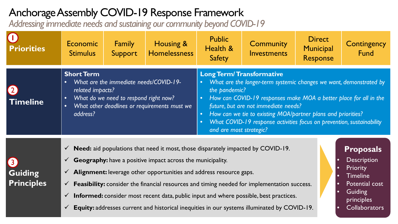## Anchorage Assembly COVID-19 Response Framework

*Addressing immediate needs and sustaining our community beyond COVID-19*

| <b>Priorities</b>                                       | Economic<br><b>Stimulus</b>                                                                                                                                                                                                                                                                                                                                                                                                                                                                                                                                                                                                                                                                                                                                                                                                         | <b>Family</b><br>Support | Housing &<br><b>Homelessness</b> | <b>Public</b><br>Health &<br><b>Safety</b>                                                                                                                                                                                                                                                                                                                                                                                         | <b>Community</b><br>Investments | <b>Direct</b><br>Municipal<br>Response | Contingency<br>Fund |
|---------------------------------------------------------|-------------------------------------------------------------------------------------------------------------------------------------------------------------------------------------------------------------------------------------------------------------------------------------------------------------------------------------------------------------------------------------------------------------------------------------------------------------------------------------------------------------------------------------------------------------------------------------------------------------------------------------------------------------------------------------------------------------------------------------------------------------------------------------------------------------------------------------|--------------------------|----------------------------------|------------------------------------------------------------------------------------------------------------------------------------------------------------------------------------------------------------------------------------------------------------------------------------------------------------------------------------------------------------------------------------------------------------------------------------|---------------------------------|----------------------------------------|---------------------|
| <b>Timeline</b>                                         | <b>Short Term</b><br>What are the immediate needs/COVID-19-<br>$\bullet$<br>related impacts?<br>What do we need to respond right now?<br>$\bullet$<br>What other deadlines or requirements must we<br>$\bullet$<br>address?                                                                                                                                                                                                                                                                                                                                                                                                                                                                                                                                                                                                         |                          |                                  | <b>Long Term/ Transformative</b><br>What are the longer-term systemic changes we want, demonstrated by<br>$\bullet$<br>the pandemic?<br>How can COVID-19 responses make MOA a better place for all in the<br>$\bullet$<br>future, but are not immediate needs?<br>How can we tie to existing MOA/partner plans and priorities?<br>What COVID-19 response activities focus on prevention, sustainability<br>and are most strategic? |                                 |                                        |                     |
| $\left(3\right)$<br><b>Guiding</b><br><b>Principles</b> | <b>Need:</b> aid populations that need it most, those disparately impacted by COVID-19.<br>$\checkmark$<br><b>Proposals</b><br><b>Description</b><br>Geography: have a positive impact across the municipality.<br>$\checkmark$<br>$\bullet$<br>Priority<br>$\bullet$<br>$\checkmark$ Alignment: leverage other opportunities and address resource gaps.<br><b>Timeline</b><br>$\bullet$<br>Feasibility: consider the financial resources and timing needed for implementation success.<br>Potential cost<br>$\checkmark$<br>$\bullet$<br>Guiding<br>$\bullet$<br><b>Informed:</b> consider most recent data, public input and where possible, best practices.<br>$\checkmark$<br>principles<br>Equity: addresses current and historical inequities in our systems illuminated by COVID-19.<br><b>Collaborators</b><br>$\checkmark$ |                          |                                  |                                                                                                                                                                                                                                                                                                                                                                                                                                    |                                 |                                        |                     |